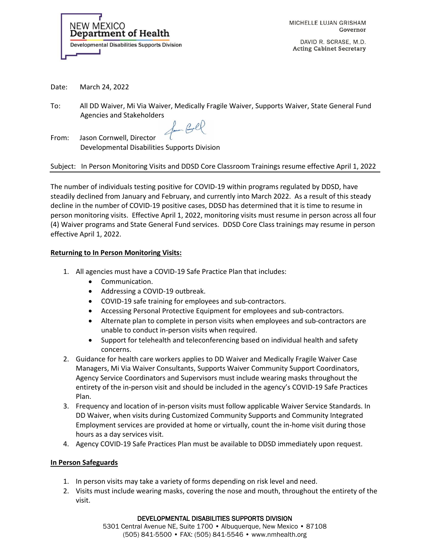

MICHELLE LUJAN GRISHAM Governor

DAVID R. SCRASE, M.D. **Acting Cabinet Secretary** 

Date: March 24, 2022

To: All DD Waiver, Mi Via Waiver, Medically Fragile Waiver, Supports Waiver, State General Fund Agencies and Stakeholders<br>And Corel

From: Jason Cornwell, Director Developmental Disabilities Supports Division

# Subject: In Person Monitoring Visits and DDSD Core Classroom Trainings resume effective April 1, 2022

The number of individuals testing positive for COVID-19 within programs regulated by DDSD, have steadily declined from January and February, and currently into March 2022. As a result of this steady decline in the number of COVID-19 positive cases, DDSD has determined that it is time to resume in person monitoring visits. Effective April 1, 2022, monitoring visits must resume in person across all four (4) Waiver programs and State General Fund services. DDSD Core Class trainings may resume in person effective April 1, 2022.

# **Returning to In Person Monitoring Visits:**

- 1. All agencies must have a COVID-19 Safe Practice Plan that includes:
	- Communication.
	- Addressing a COVID-19 outbreak.
	- COVID-19 safe training for employees and sub-contractors.
	- Accessing Personal Protective Equipment for employees and sub-contractors.
	- Alternate plan to complete in person visits when employees and sub-contractors are unable to conduct in-person visits when required.
	- Support for telehealth and teleconferencing based on individual health and safety concerns.
- 2. Guidance for health care workers applies to DD Waiver and Medically Fragile Waiver Case Managers, Mi Via Waiver Consultants, Supports Waiver Community Support Coordinators, Agency Service Coordinators and Supervisors must include wearing masks throughout the entirety of the in-person visit and should be included in the agency's COVID-19 Safe Practices Plan.
- 3. Frequency and location of in-person visits must follow applicable Waiver Service Standards. In DD Waiver, when visits during Customized Community Supports and Community Integrated Employment services are provided at home or virtually, count the in-home visit during those hours as a day services visit.
- 4. Agency COVID-19 Safe Practices Plan must be available to DDSD immediately upon request.

## **In Person Safeguards**

- 1. In person visits may take a variety of forms depending on risk level and need.
- 2. Visits must include wearing masks, covering the nose and mouth, throughout the entirety of the visit.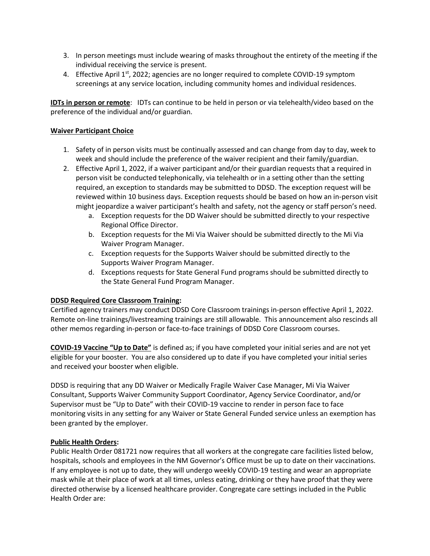- 3. In person meetings must include wearing of masks throughout the entirety of the meeting if the individual receiving the service is present.
- 4. Effective April  $1<sup>st</sup>$ , 2022; agencies are no longer required to complete COVID-19 symptom screenings at any service location, including community homes and individual residences.

**IDTs in person or remote**: IDTs can continue to be held in person or via telehealth/video based on the preference of the individual and/or guardian.

## **Waiver Participant Choice**

- 1. Safety of in person visits must be continually assessed and can change from day to day, week to week and should include the preference of the waiver recipient and their family/guardian.
- 2. Effective April 1, 2022, if a waiver participant and/or their guardian requests that a required in person visit be conducted telephonically, via telehealth or in a setting other than the setting required, an exception to standards may be submitted to DDSD. The exception request will be reviewed within 10 business days. Exception requests should be based on how an in-person visit might jeopardize a waiver participant's health and safety, not the agency or staff person's need.
	- a. Exception requests for the DD Waiver should be submitted directly to your respective Regional Office Director.
	- b. Exception requests for the Mi Via Waiver should be submitted directly to the Mi Via Waiver Program Manager.
	- c. Exception requests for the Supports Waiver should be submitted directly to the Supports Waiver Program Manager.
	- d. Exceptions requests for State General Fund programs should be submitted directly to the State General Fund Program Manager.

## **DDSD Required Core Classroom Training:**

Certified agency trainers may conduct DDSD Core Classroom trainings in-person effective April 1, 2022. Remote on-line trainings/livestreaming trainings are still allowable. This announcement also rescinds all other memos regarding in-person or face-to-face trainings of DDSD Core Classroom courses.

**COVID-19 Vaccine "Up to Date"** is defined as; if you have completed your initial series and are not yet eligible for your booster. You are also considered up to date if you have completed your initial series and received your booster when eligible.

DDSD is requiring that any DD Waiver or Medically Fragile Waiver Case Manager, Mi Via Waiver Consultant, Supports Waiver Community Support Coordinator, Agency Service Coordinator, and/or Supervisor must be "Up to Date" with their COVID-19 vaccine to render in person face to face monitoring visits in any setting for any Waiver or State General Funded service unless an exemption has been granted by the employer.

## **Public Health Orders:**

Public Health Order 081721 now requires that all workers at the congregate care facilities listed below, hospitals, schools and employees in the NM Governor's Office must be up to date on their vaccinations. If any employee is not up to date, they will undergo weekly COVID-19 testing and wear an appropriate mask while at their place of work at all times, unless eating, drinking or they have proof that they were directed otherwise by a licensed healthcare provider. Congregate care settings included in the Public Health Order are: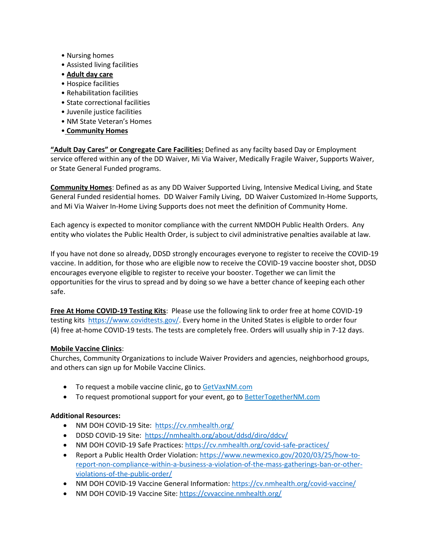- Nursing homes
- Assisted living facilities
- **Adult day care**
- Hospice facilities
- Rehabilitation facilities
- State correctional facilities
- Juvenile justice facilities
- NM State Veteran's Homes
- **Community Homes**

**"Adult Day Cares" or Congregate Care Facilities:** Defined as any facilty based Day or Employment service offered within any of the DD Waiver, Mi Via Waiver, Medically Fragile Waiver, Supports Waiver, or State General Funded programs.

**Community Homes**: Defined as as any DD Waiver Supported Living, Intensive Medical Living, and State General Funded residential homes. DD Waiver Family Living, DD Waiver Customized In-Home Supports, and Mi Via Waiver In-Home Living Supports does not meet the definition of Community Home.

Each agency is expected to monitor compliance with the current NMDOH Public Health Orders. Any entity who violates the Public Health Order, is subject to civil administrative penalties available at law.

If you have not done so already, DDSD strongly encourages everyone to register to receive the COVID-19 vaccine. In addition, for those who are eligible now to receive the COVID-19 vaccine booster shot, DDSD encourages everyone eligible to register to receive your booster. Together we can limit the opportunities for the virus to spread and by doing so we have a better chance of keeping each other safe.

**Free At Home COVID-19 Testing Kits**: Please use the following link to order free at home COVID-19 testing kits [https://www.covidtests.gov/.](https://www.covidtests.gov/) Every home in the United States is eligible to order four (4) free at-home COVID-19 tests. The tests are completely free. Orders will usually ship in 7-12 days.

## **Mobile Vaccine Clinics**:

Churches, Community Organizations to include Waiver Providers and agencies, neighborhood groups, and others can sign up for Mobile Vaccine Clinics.

- To request a mobile vaccine clinic, go to GetVaxNM.com
- To request promotional support for your event, go to BetterTogetherNM.com

## **Additional Resources:**

- NM DOH COVID-19 Site: <https://cv.nmhealth.org/>
- DDSD COVID-19 Site:<https://nmhealth.org/about/ddsd/diro/ddcv/>
- NM DOH COVID-19 Safe Practices[: https://cv.nmhealth.org/covid-safe-practices/](https://cv.nmhealth.org/covid-safe-practices/)
- Report a Public Health Order Violation[: https://www.newmexico.gov/2020/03/25/how-to](https://www.newmexico.gov/2020/03/25/how-to-report-non-compliance-within-a-business-a-violation-of-the-mass-gatherings-ban-or-other-violations-of-the-public-order/)[report-non-compliance-within-a-business-a-violation-of-the-mass-gatherings-ban-or-other](https://www.newmexico.gov/2020/03/25/how-to-report-non-compliance-within-a-business-a-violation-of-the-mass-gatherings-ban-or-other-violations-of-the-public-order/)[violations-of-the-public-order/](https://www.newmexico.gov/2020/03/25/how-to-report-non-compliance-within-a-business-a-violation-of-the-mass-gatherings-ban-or-other-violations-of-the-public-order/)
- NM DOH COVID-19 Vaccine General Information:<https://cv.nmhealth.org/covid-vaccine/>
- NM DOH COVID-19 Vaccine Site[: https://cvvaccine.nmhealth.org/](https://cvvaccine.nmhealth.org/)